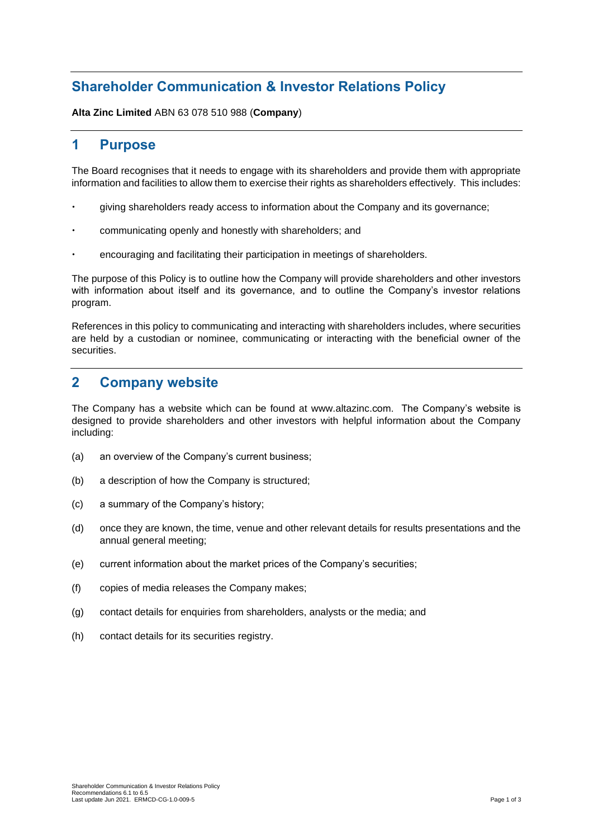## **Shareholder Communication & Investor Relations Policy**

**Alta Zinc Limited** ABN 63 078 510 988 (**Company**)

### **1 Purpose**

The Board recognises that it needs to engage with its shareholders and provide them with appropriate information and facilities to allow them to exercise their rights as shareholders effectively. This includes:

- giving shareholders ready access to information about the Company and its governance;
- communicating openly and honestly with shareholders; and
- encouraging and facilitating their participation in meetings of shareholders.

The purpose of this Policy is to outline how the Company will provide shareholders and other investors with information about itself and its governance, and to outline the Company's investor relations program.

References in this policy to communicating and interacting with shareholders includes, where securities are held by a custodian or nominee, communicating or interacting with the beneficial owner of the securities.

#### **2 Company website**

The Company has a website which can be found at www.altazinc.com. The Company's website is designed to provide shareholders and other investors with helpful information about the Company including:

- (a) an overview of the Company's current business;
- (b) a description of how the Company is structured;
- (c) a summary of the Company's history;
- (d) once they are known, the time, venue and other relevant details for results presentations and the annual general meeting;
- (e) current information about the market prices of the Company's securities;
- (f) copies of media releases the Company makes;
- (g) contact details for enquiries from shareholders, analysts or the media; and
- (h) contact details for its securities registry.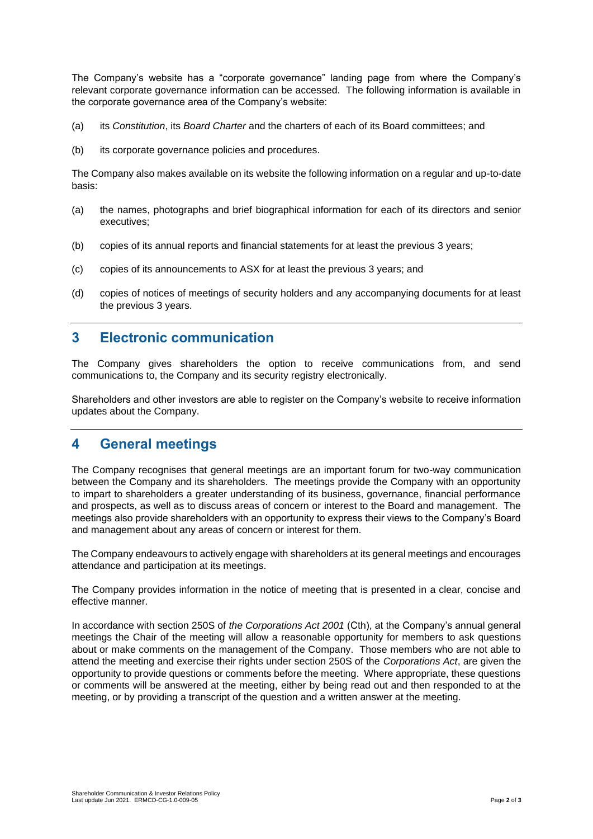The Company's website has a "corporate governance" landing page from where the Company's relevant corporate governance information can be accessed. The following information is available in the corporate governance area of the Company's website:

- (a) its *Constitution*, its *Board Charter* and the charters of each of its Board committees; and
- (b) its corporate governance policies and procedures.

The Company also makes available on its website the following information on a regular and up-to-date basis:

- (a) the names, photographs and brief biographical information for each of its directors and senior executives;
- (b) copies of its annual reports and financial statements for at least the previous 3 years;
- (c) copies of its announcements to ASX for at least the previous 3 years; and
- (d) copies of notices of meetings of security holders and any accompanying documents for at least the previous 3 years.

#### **3 Electronic communication**

The Company gives shareholders the option to receive communications from, and send communications to, the Company and its security registry electronically.

Shareholders and other investors are able to register on the Company's website to receive information updates about the Company.

#### **4 General meetings**

The Company recognises that general meetings are an important forum for two-way communication between the Company and its shareholders. The meetings provide the Company with an opportunity to impart to shareholders a greater understanding of its business, governance, financial performance and prospects, as well as to discuss areas of concern or interest to the Board and management. The meetings also provide shareholders with an opportunity to express their views to the Company's Board and management about any areas of concern or interest for them.

The Company endeavours to actively engage with shareholders at its general meetings and encourages attendance and participation at its meetings.

The Company provides information in the notice of meeting that is presented in a clear, concise and effective manner.

In accordance with section 250S of *the Corporations Act 2001* (Cth), at the Company's annual general meetings the Chair of the meeting will allow a reasonable opportunity for members to ask questions about or make comments on the management of the Company. Those members who are not able to attend the meeting and exercise their rights under section 250S of the *Corporations Act*, are given the opportunity to provide questions or comments before the meeting. Where appropriate, these questions or comments will be answered at the meeting, either by being read out and then responded to at the meeting, or by providing a transcript of the question and a written answer at the meeting.